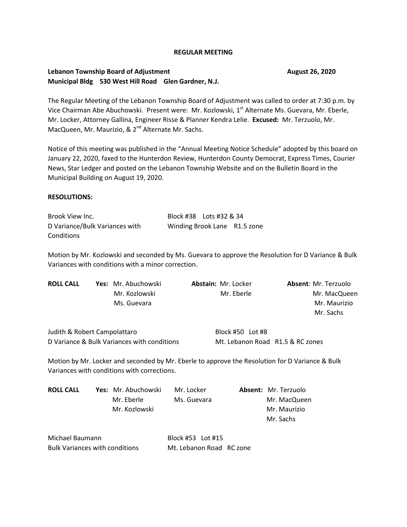#### **REGULAR MEETING**

### **Lebanon Township Board of Adjustment Channel August 26, 2020 Municipal Bldg 530 West Hill Road Glen Gardner, N.J.**

The Regular Meeting of the Lebanon Township Board of Adjustment was called to order at 7:30 p.m. by Vice Chairman Abe Abuchowski. Present were: Mr. Kozlowski, 1<sup>st</sup> Alternate Ms. Guevara, Mr. Eberle, Mr. Locker, Attorney Gallina, Engineer Risse & Planner Kendra Lelie. **Excused:** Mr. Terzuolo, Mr. MacQueen, Mr. Maurizio, & 2<sup>nd</sup> Alternate Mr. Sachs.

Notice of this meeting was published in the "Annual Meeting Notice Schedule" adopted by this board on January 22, 2020, faxed to the Hunterdon Review, Hunterdon County Democrat, Express Times, Courier News, Star Ledger and posted on the Lebanon Township Website and on the Bulletin Board in the Municipal Building on August 19, 2020.

### **RESOLUTIONS:**

Brook View Inc. Block #38 Lots #32 & 34 D Variance/Bulk Variances with Winding Brook Lane R1.5 zone **Conditions** 

Motion by Mr. Kozlowski and seconded by Ms. Guevara to approve the Resolution for D Variance & Bulk Variances with conditions with a minor correction.

| <b>ROLL CALL</b>             | <b>Yes:</b> Mr. Abuchowski | <b>Abstain: Mr. Locker</b> | <b>Absent: Mr. Terzuolo</b><br>Mr. MacQueen |  |
|------------------------------|----------------------------|----------------------------|---------------------------------------------|--|
|                              | Mr. Kozlowski              | Mr. Eberle                 |                                             |  |
|                              | Ms. Guevara                |                            | Mr. Maurizio                                |  |
|                              |                            |                            | Mr. Sachs                                   |  |
| Judith & Robert Campolattaro |                            | Block #50 Lot #8           |                                             |  |

Motion by Mr. Locker and seconded by Mr. Eberle to approve the Resolution for D Variance & Bulk Variances with conditions with corrections.

D Variance & Bulk Variances with conditions Mt. Lebanon Road R1.5 & RC zones

| <b>ROLL CALL</b> | <b>Yes:</b> Mr. Abuchowski | Mr. Locker  | Absent: Mr. Terzuolo |
|------------------|----------------------------|-------------|----------------------|
|                  | Mr. Eberle                 | Ms. Guevara | Mr. MacQueen         |
|                  | Mr. Kozlowski              |             | Mr. Maurizio         |
|                  |                            |             | Mr. Sachs            |
|                  |                            |             |                      |

| Michael Baumann                | Block #53    Lot #15     |  |
|--------------------------------|--------------------------|--|
| Bulk Variances with conditions | Mt. Lebanon Road RC zone |  |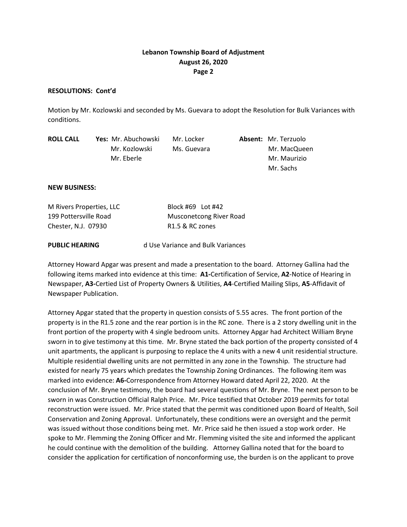## **Lebanon Township Board of Adjustment August 26, 2020 Page 2**

#### **RESOLUTIONS: Cont'd**

Motion by Mr. Kozlowski and seconded by Ms. Guevara to adopt the Resolution for Bulk Variances with conditions.

| <b>ROLL CALL</b> | <b>Yes:</b> Mr. Abuchowski | Mr. Locker  | <b>Absent: Mr. Terzuolo</b> |
|------------------|----------------------------|-------------|-----------------------------|
|                  | Mr. Kozlowski              | Ms. Guevara | Mr. MacQueen                |
|                  | Mr. Eberle                 |             | Mr. Maurizio                |
|                  |                            |             | Mr. Sachs                   |

#### **NEW BUSINESS:**

| M Rivers Properties, LLC | Block #69 Lot #42           |
|--------------------------|-----------------------------|
| 199 Pottersville Road    | Musconetcong River Road     |
| Chester, N.J. 07930      | R <sub>1.5</sub> & RC zones |

**PUBLIC HEARING** d Use Variance and Bulk Variances

Attorney Howard Apgar was present and made a presentation to the board. Attorney Gallina had the following items marked into evidence at this time: **A1-**Certification of Service, **A2**-Notice of Hearing in Newspaper, **A3-**Certied List of Property Owners & Utilities, **A4**-Certified Mailing Slips, **A5**-Affidavit of Newspaper Publication.

Attorney Apgar stated that the property in question consists of 5.55 acres. The front portion of the property is in the R1.5 zone and the rear portion is in the RC zone. There is a 2 story dwelling unit in the front portion of the property with 4 single bedroom units. Attorney Apgar had Architect William Bryne sworn in to give testimony at this time. Mr. Bryne stated the back portion of the property consisted of 4 unit apartments, the applicant is purposing to replace the 4 units with a new 4 unit residential structure. Multiple residential dwelling units are not permitted in any zone in the Township. The structure had existed for nearly 75 years which predates the Township Zoning Ordinances. The following item was marked into evidence: **A6-**Correspondence from Attorney Howard dated April 22, 2020. At the conclusion of Mr. Bryne testimony, the board had several questions of Mr. Bryne. The next person to be sworn in was Construction Official Ralph Price. Mr. Price testified that October 2019 permits for total reconstruction were issued. Mr. Price stated that the permit was conditioned upon Board of Health, Soil Conservation and Zoning Approval. Unfortunately, these conditions were an oversight and the permit was issued without those conditions being met. Mr. Price said he then issued a stop work order. He spoke to Mr. Flemming the Zoning Officer and Mr. Flemming visited the site and informed the applicant he could continue with the demolition of the building. Attorney Gallina noted that for the board to consider the application for certification of nonconforming use, the burden is on the applicant to prove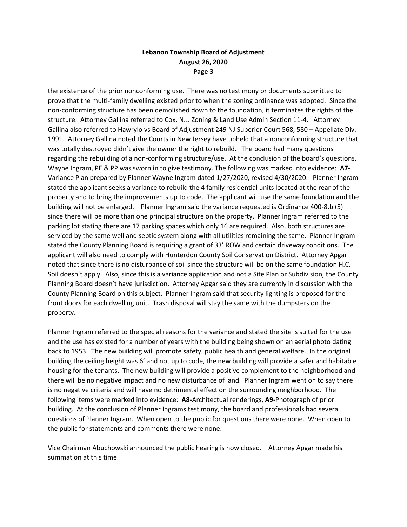## **Lebanon Township Board of Adjustment August 26, 2020 Page 3**

the existence of the prior nonconforming use. There was no testimony or documents submitted to prove that the multi-family dwelling existed prior to when the zoning ordinance was adopted. Since the non-conforming structure has been demolished down to the foundation, it terminates the rights of the structure. Attorney Gallina referred to Cox, N.J. Zoning & Land Use Admin Section 11-4. Attorney Gallina also referred to Hawrylo vs Board of Adjustment 249 NJ Superior Court 568, 580 – Appellate Div. 1991. Attorney Gallina noted the Courts in New Jersey have upheld that a nonconforming structure that was totally destroyed didn't give the owner the right to rebuild. The board had many questions regarding the rebuilding of a non-conforming structure/use. At the conclusion of the board's questions, Wayne Ingram, PE & PP was sworn in to give testimony. The following was marked into evidence: **A7-** Variance Plan prepared by Planner Wayne Ingram dated 1/27/2020, revised 4/30/2020. Planner Ingram stated the applicant seeks a variance to rebuild the 4 family residential units located at the rear of the property and to bring the improvements up to code. The applicant will use the same foundation and the building will not be enlarged. Planner Ingram said the variance requested is Ordinance 400-8.b (5) since there will be more than one principal structure on the property. Planner Ingram referred to the parking lot stating there are 17 parking spaces which only 16 are required. Also, both structures are serviced by the same well and septic system along with all utilities remaining the same. Planner Ingram stated the County Planning Board is requiring a grant of 33' ROW and certain driveway conditions. The applicant will also need to comply with Hunterdon County Soil Conservation District. Attorney Apgar noted that since there is no disturbance of soil since the structure will be on the same foundation H.C. Soil doesn't apply. Also, since this is a variance application and not a Site Plan or Subdivision, the County Planning Board doesn't have jurisdiction. Attorney Apgar said they are currently in discussion with the County Planning Board on this subject. Planner Ingram said that security lighting is proposed for the front doors for each dwelling unit. Trash disposal will stay the same with the dumpsters on the property.

Planner Ingram referred to the special reasons for the variance and stated the site is suited for the use and the use has existed for a number of years with the building being shown on an aerial photo dating back to 1953. The new building will promote safety, public health and general welfare. In the original building the ceiling height was 6' and not up to code, the new building will provide a safer and habitable housing for the tenants. The new building will provide a positive complement to the neighborhood and there will be no negative impact and no new disturbance of land. Planner Ingram went on to say there is no negative criteria and will have no detrimental effect on the surrounding neighborhood. The following items were marked into evidence: **A8-**Architectual renderings, **A9-**Photograph of prior building. At the conclusion of Planner Ingrams testimony, the board and professionals had several questions of Planner Ingram. When open to the public for questions there were none. When open to the public for statements and comments there were none.

Vice Chairman Abuchowski announced the public hearing is now closed. Attorney Apgar made his summation at this time.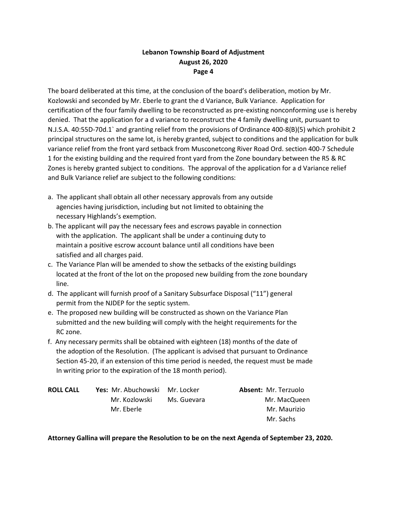# **Lebanon Township Board of Adjustment August 26, 2020 Page 4**

The board deliberated at this time, at the conclusion of the board's deliberation, motion by Mr. Kozlowski and seconded by Mr. Eberle to grant the d Variance, Bulk Variance. Application for certification of the four family dwelling to be reconstructed as pre-existing nonconforming use is hereby denied. That the application for a d variance to reconstruct the 4 family dwelling unit, pursuant to N.J.S.A. 40:55D-70d.1` and granting relief from the provisions of Ordinance 400-8(B)(5) which prohibit 2 principal structures on the same lot, is hereby granted, subject to conditions and the application for bulk variance relief from the front yard setback from Musconetcong River Road Ord. section 400-7 Schedule 1 for the existing building and the required front yard from the Zone boundary between the R5 & RC Zones is hereby granted subject to conditions. The approval of the application for a d Variance relief and Bulk Variance relief are subject to the following conditions:

- a. The applicant shall obtain all other necessary approvals from any outside agencies having jurisdiction, including but not limited to obtaining the necessary Highlands's exemption.
- b. The applicant will pay the necessary fees and escrows payable in connection with the application. The applicant shall be under a continuing duty to maintain a positive escrow account balance until all conditions have been satisfied and all charges paid.
- c. The Variance Plan will be amended to show the setbacks of the existing buildings located at the front of the lot on the proposed new building from the zone boundary line.
- d. The applicant will furnish proof of a Sanitary Subsurface Disposal ("11") general permit from the NJDEP for the septic system.
- e. The proposed new building will be constructed as shown on the Variance Plan submitted and the new building will comply with the height requirements for the RC zone.
- f. Any necessary permits shall be obtained with eighteen (18) months of the date of the adoption of the Resolution. (The applicant is advised that pursuant to Ordinance Section 45-20, if an extension of this time period is needed, the request must be made In writing prior to the expiration of the 18 month period).

| <b>ROLL CALL</b> | <b>Yes:</b> Mr. Abuchowski Mr. Locker |             | <b>Absent: Mr. Terzuolo</b> |
|------------------|---------------------------------------|-------------|-----------------------------|
|                  | Mr. Kozlowski                         | Ms. Guevara | Mr. MacQueen                |
|                  | Mr. Eberle                            |             | Mr. Maurizio                |
|                  |                                       |             | Mr. Sachs                   |

**Attorney Gallina will prepare the Resolution to be on the next Agenda of September 23, 2020.**